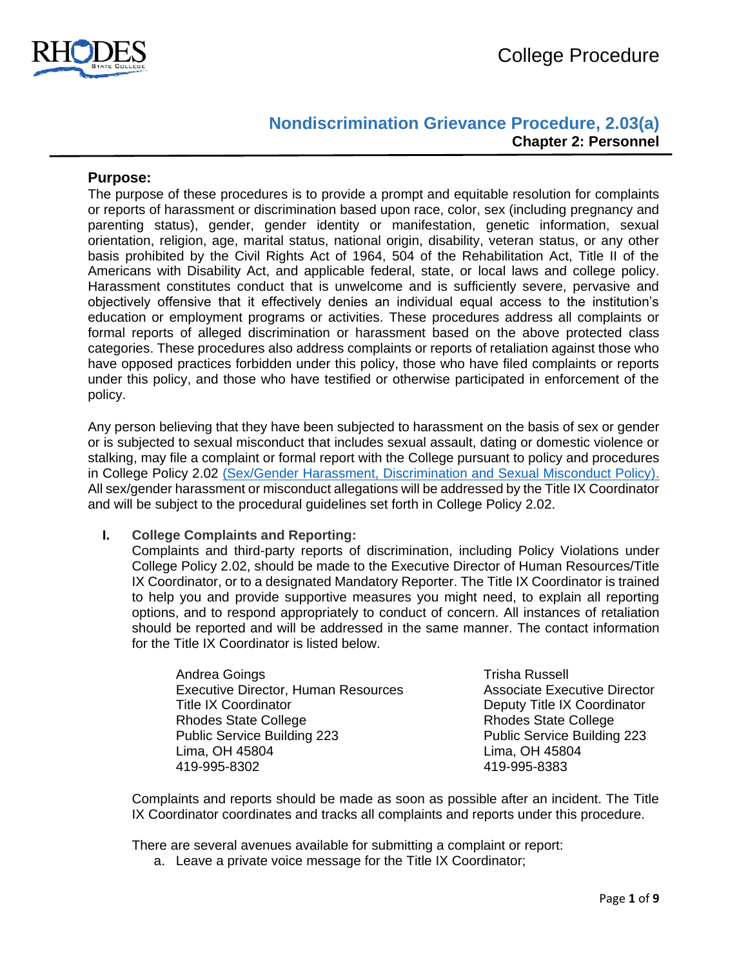

# **Nondiscrimination Grievance Procedure, 2.03(a) Chapter 2: Personnel**

### **Purpose:**

The purpose of these procedures is to provide a prompt and equitable resolution for complaints or reports of harassment or discrimination based upon race, color, sex (including pregnancy and parenting status), gender, gender identity or manifestation, genetic information, sexual orientation, religion, age, marital status, national origin, disability, veteran status, or any other basis prohibited by the Civil Rights Act of 1964, 504 of the Rehabilitation Act, Title II of the Americans with Disability Act, and applicable federal, state, or local laws and college policy. Harassment constitutes conduct that is unwelcome and is sufficiently severe, pervasive and objectively offensive that it effectively denies an individual equal access to the institution's education or employment programs or activities. These procedures address all complaints or formal reports of alleged discrimination or harassment based on the above protected class categories. These procedures also address complaints or reports of retaliation against those who have opposed practices forbidden under this policy, those who have filed complaints or reports under this policy, and those who have testified or otherwise participated in enforcement of the policy.

Any person believing that they have been subjected to harassment on the basis of sex or gender or is subjected to sexual misconduct that includes sexual assault, dating or domestic violence or stalking, may file a complaint or formal report with the College pursuant to policy and procedures in College Policy 2.02 [\(Sex/Gender Harassment, Discrimination and Sexual Misconduct Policy\).](https://www.rhodesstate.edu/_files/documents/policies-and-procedures/nondiscrimination-policy.pdf)  All sex/gender harassment or misconduct allegations will be addressed by the Title IX Coordinator and will be subject to the procedural guidelines set forth in College Policy 2.02.

### **I. College Complaints and Reporting:**

Complaints and third-party reports of discrimination, including Policy Violations under College Policy 2.02, should be made to the Executive Director of Human Resources/Title IX Coordinator, or to a designated Mandatory Reporter. The Title IX Coordinator is trained to help you and provide supportive measures you might need, to explain all reporting options, and to respond appropriately to conduct of concern. All instances of retaliation should be reported and will be addressed in the same manner. The contact information for the Title IX Coordinator is listed below.

Andrea Goings **Trisha Russell** Executive Director, Human Resources **Associate Executive Director** Title IX Coordinator **Deputy Title IX Coordinator** Deputy Title IX Coordinator Rhodes State College **Rhodes** State College Public Service Building 223 **Public Service Building 223** Lima, OH 45804 Lima, OH 45804 419-995-8302 419-995-8383

Complaints and reports should be made as soon as possible after an incident. The Title IX Coordinator coordinates and tracks all complaints and reports under this procedure.

There are several avenues available for submitting a complaint or report:

a. Leave a private voice message for the Title IX Coordinator;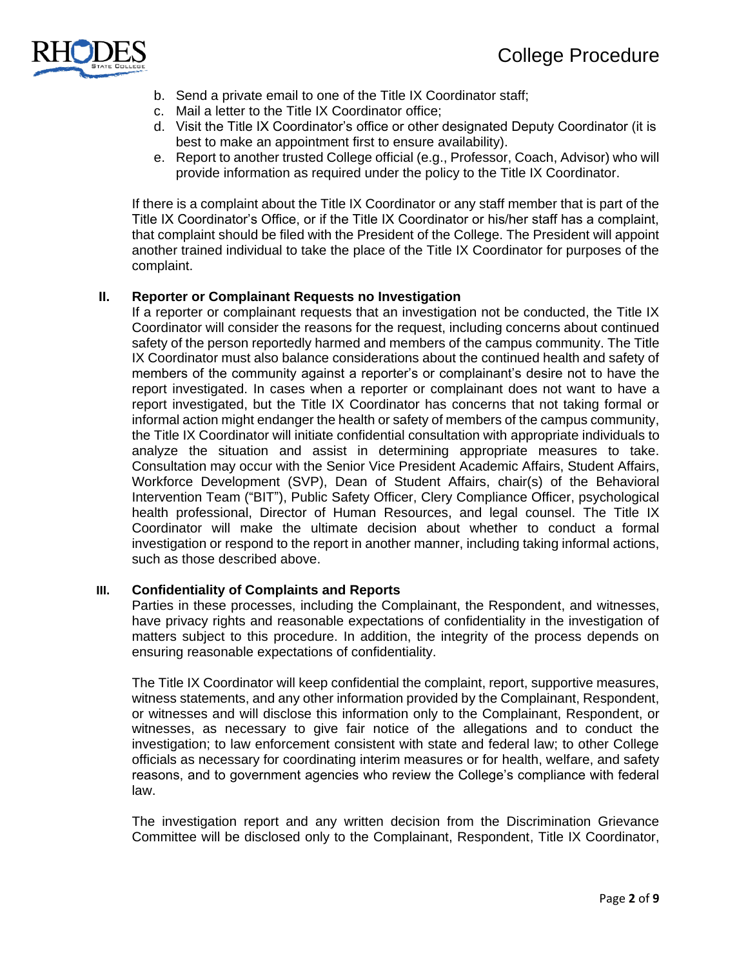

- b. Send a private email to one of the Title IX Coordinator staff;
- c. Mail a letter to the Title IX Coordinator office;
- d. Visit the Title IX Coordinator's office or other designated Deputy Coordinator (it is best to make an appointment first to ensure availability).
- e. Report to another trusted College official (e.g., Professor, Coach, Advisor) who will provide information as required under the policy to the Title IX Coordinator.

If there is a complaint about the Title IX Coordinator or any staff member that is part of the Title IX Coordinator's Office, or if the Title IX Coordinator or his/her staff has a complaint, that complaint should be filed with the President of the College. The President will appoint another trained individual to take the place of the Title IX Coordinator for purposes of the complaint.

### **II. Reporter or Complainant Requests no Investigation**

If a reporter or complainant requests that an investigation not be conducted, the Title IX Coordinator will consider the reasons for the request, including concerns about continued safety of the person reportedly harmed and members of the campus community. The Title IX Coordinator must also balance considerations about the continued health and safety of members of the community against a reporter's or complainant's desire not to have the report investigated. In cases when a reporter or complainant does not want to have a report investigated, but the Title IX Coordinator has concerns that not taking formal or informal action might endanger the health or safety of members of the campus community, the Title IX Coordinator will initiate confidential consultation with appropriate individuals to analyze the situation and assist in determining appropriate measures to take. Consultation may occur with the Senior Vice President Academic Affairs, Student Affairs, Workforce Development (SVP), Dean of Student Affairs, chair(s) of the Behavioral Intervention Team ("BIT"), Public Safety Officer, Clery Compliance Officer, psychological health professional, Director of Human Resources, and legal counsel. The Title IX Coordinator will make the ultimate decision about whether to conduct a formal investigation or respond to the report in another manner, including taking informal actions, such as those described above.

### **III. Confidentiality of Complaints and Reports**

Parties in these processes, including the Complainant, the Respondent, and witnesses, have privacy rights and reasonable expectations of confidentiality in the investigation of matters subject to this procedure. In addition, the integrity of the process depends on ensuring reasonable expectations of confidentiality.

The Title IX Coordinator will keep confidential the complaint, report, supportive measures, witness statements, and any other information provided by the Complainant, Respondent, or witnesses and will disclose this information only to the Complainant, Respondent, or witnesses, as necessary to give fair notice of the allegations and to conduct the investigation; to law enforcement consistent with state and federal law; to other College officials as necessary for coordinating interim measures or for health, welfare, and safety reasons, and to government agencies who review the College's compliance with federal law.

The investigation report and any written decision from the Discrimination Grievance Committee will be disclosed only to the Complainant, Respondent, Title IX Coordinator,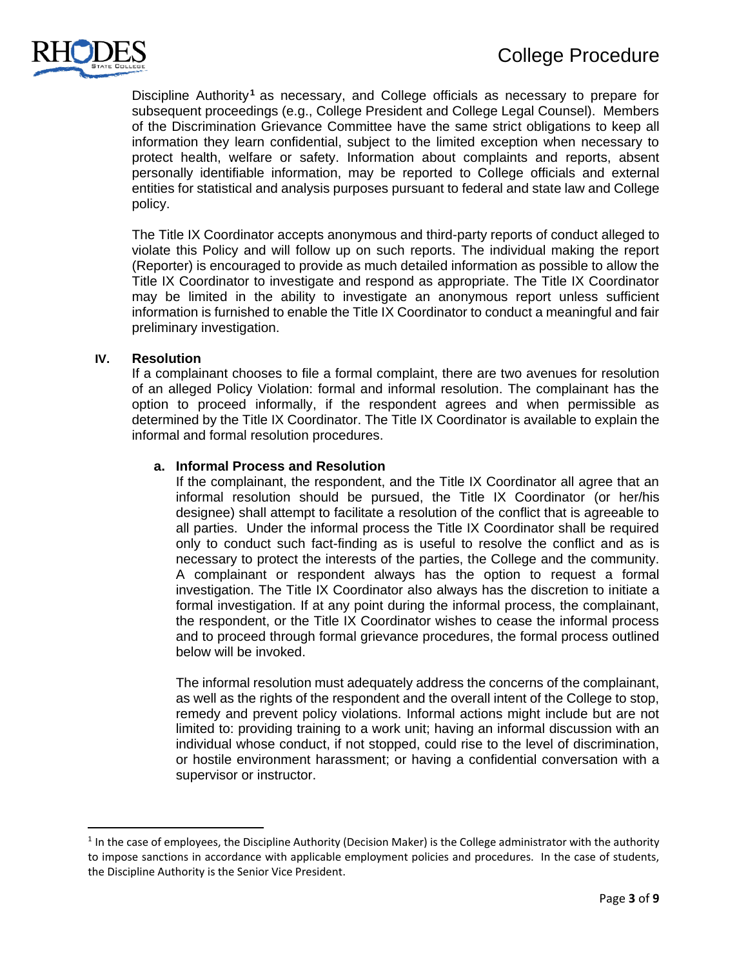

Discipline Authority<sup>1</sup> as necessary, and College officials as necessary to prepare for subsequent proceedings (e.g., College President and College Legal Counsel). Members of the Discrimination Grievance Committee have the same strict obligations to keep all information they learn confidential, subject to the limited exception when necessary to protect health, welfare or safety. Information about complaints and reports, absent personally identifiable information, may be reported to College officials and external entities for statistical and analysis purposes pursuant to federal and state law and College policy.

The Title IX Coordinator accepts anonymous and third-party reports of conduct alleged to violate this Policy and will follow up on such reports. The individual making the report (Reporter) is encouraged to provide as much detailed information as possible to allow the Title IX Coordinator to investigate and respond as appropriate. The Title IX Coordinator may be limited in the ability to investigate an anonymous report unless sufficient information is furnished to enable the Title IX Coordinator to conduct a meaningful and fair preliminary investigation.

### **IV. Resolution**

 $\overline{\phantom{a}}$ 

If a complainant chooses to file a formal complaint, there are two avenues for resolution of an alleged Policy Violation: formal and informal resolution. The complainant has the option to proceed informally, if the respondent agrees and when permissible as determined by the Title IX Coordinator. The Title IX Coordinator is available to explain the informal and formal resolution procedures.

### **a. Informal Process and Resolution**

If the complainant, the respondent, and the Title IX Coordinator all agree that an informal resolution should be pursued, the Title IX Coordinator (or her/his designee) shall attempt to facilitate a resolution of the conflict that is agreeable to all parties. Under the informal process the Title IX Coordinator shall be required only to conduct such fact-finding as is useful to resolve the conflict and as is necessary to protect the interests of the parties, the College and the community. A complainant or respondent always has the option to request a formal investigation. The Title IX Coordinator also always has the discretion to initiate a formal investigation. If at any point during the informal process, the complainant, the respondent, or the Title IX Coordinator wishes to cease the informal process and to proceed through formal grievance procedures, the formal process outlined below will be invoked.

The informal resolution must adequately address the concerns of the complainant, as well as the rights of the respondent and the overall intent of the College to stop, remedy and prevent policy violations. Informal actions might include but are not limited to: providing training to a work unit; having an informal discussion with an individual whose conduct, if not stopped, could rise to the level of discrimination, or hostile environment harassment; or having a confidential conversation with a supervisor or instructor.

 $1$  In the case of employees, the Discipline Authority (Decision Maker) is the College administrator with the authority to impose sanctions in accordance with applicable employment policies and procedures. In the case of students, the Discipline Authority is the Senior Vice President.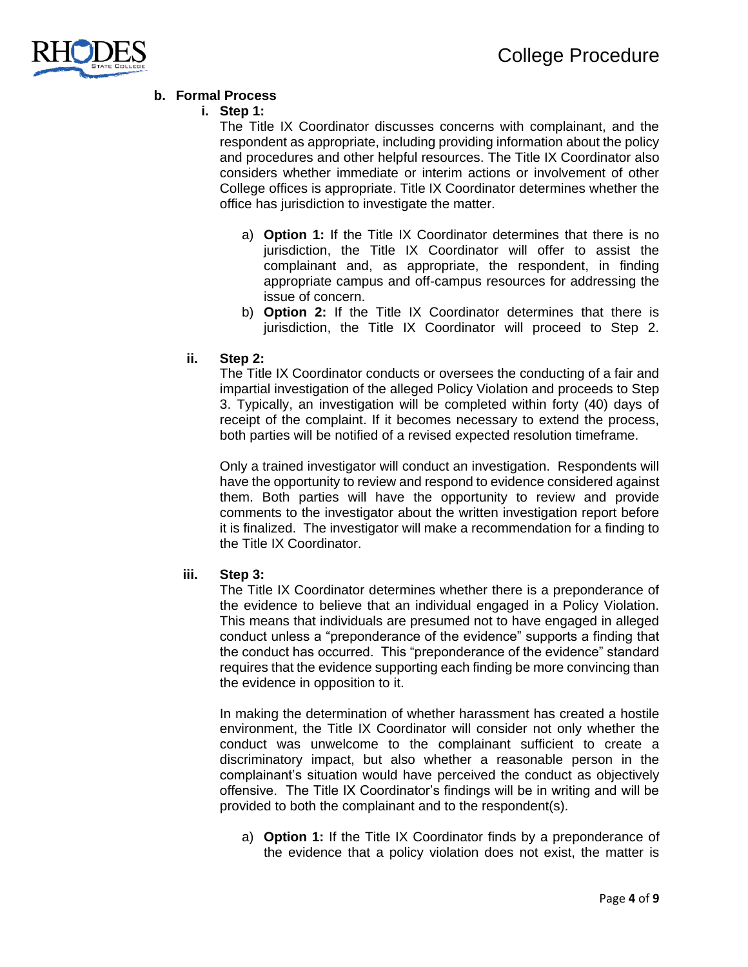

## **b. Formal Process**

### **i. Step 1:**

The Title IX Coordinator discusses concerns with complainant, and the respondent as appropriate, including providing information about the policy and procedures and other helpful resources. The Title IX Coordinator also considers whether immediate or interim actions or involvement of other College offices is appropriate. Title IX Coordinator determines whether the office has jurisdiction to investigate the matter.

- a) **Option 1:** If the Title IX Coordinator determines that there is no jurisdiction, the Title IX Coordinator will offer to assist the complainant and, as appropriate, the respondent, in finding appropriate campus and off-campus resources for addressing the issue of concern.
- b) **Option 2:** If the Title IX Coordinator determines that there is jurisdiction, the Title IX Coordinator will proceed to Step 2.

### **ii. Step 2:**

The Title IX Coordinator conducts or oversees the conducting of a fair and impartial investigation of the alleged Policy Violation and proceeds to Step 3. Typically, an investigation will be completed within forty (40) days of receipt of the complaint. If it becomes necessary to extend the process, both parties will be notified of a revised expected resolution timeframe.

Only a trained investigator will conduct an investigation. Respondents will have the opportunity to review and respond to evidence considered against them. Both parties will have the opportunity to review and provide comments to the investigator about the written investigation report before it is finalized. The investigator will make a recommendation for a finding to the Title IX Coordinator.

### **iii. Step 3:**

The Title IX Coordinator determines whether there is a preponderance of the evidence to believe that an individual engaged in a Policy Violation. This means that individuals are presumed not to have engaged in alleged conduct unless a "preponderance of the evidence" supports a finding that the conduct has occurred. This "preponderance of the evidence" standard requires that the evidence supporting each finding be more convincing than the evidence in opposition to it.

In making the determination of whether harassment has created a hostile environment, the Title IX Coordinator will consider not only whether the conduct was unwelcome to the complainant sufficient to create a discriminatory impact, but also whether a reasonable person in the complainant's situation would have perceived the conduct as objectively offensive. The Title IX Coordinator's findings will be in writing and will be provided to both the complainant and to the respondent(s).

a) **Option 1:** If the Title IX Coordinator finds by a preponderance of the evidence that a policy violation does not exist, the matter is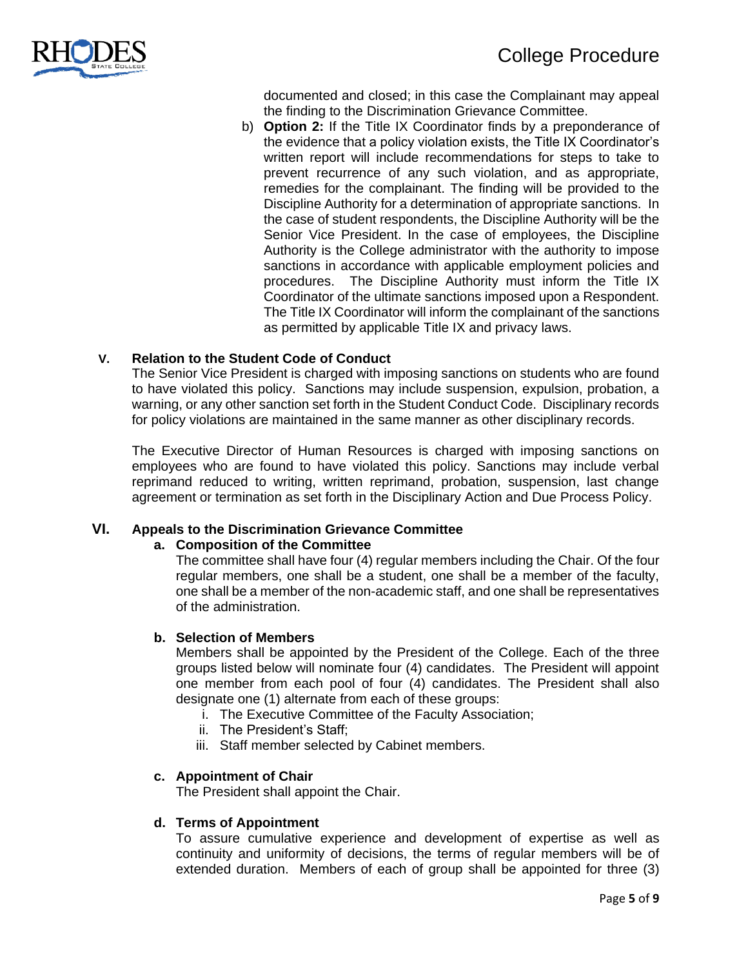

documented and closed; in this case the Complainant may appeal the finding to the Discrimination Grievance Committee.

b) **Option 2:** If the Title IX Coordinator finds by a preponderance of the evidence that a policy violation exists, the Title IX Coordinator's written report will include recommendations for steps to take to prevent recurrence of any such violation, and as appropriate, remedies for the complainant. The finding will be provided to the Discipline Authority for a determination of appropriate sanctions. In the case of student respondents, the Discipline Authority will be the Senior Vice President. In the case of employees, the Discipline Authority is the College administrator with the authority to impose sanctions in accordance with applicable employment policies and procedures. The Discipline Authority must inform the Title IX Coordinator of the ultimate sanctions imposed upon a Respondent. The Title IX Coordinator will inform the complainant of the sanctions as permitted by applicable Title IX and privacy laws.

### **V. Relation to the Student Code of Conduct**

The Senior Vice President is charged with imposing sanctions on students who are found to have violated this policy. Sanctions may include suspension, expulsion, probation, a warning, or any other sanction set forth in the Student Conduct Code. Disciplinary records for policy violations are maintained in the same manner as other disciplinary records.

The Executive Director of Human Resources is charged with imposing sanctions on employees who are found to have violated this policy. Sanctions may include verbal reprimand reduced to writing, written reprimand, probation, suspension, last change agreement or termination as set forth in the Disciplinary Action and Due Process Policy.

### **VI. Appeals to the Discrimination Grievance Committee**

### **a. Composition of the Committee**

The committee shall have four (4) regular members including the Chair. Of the four regular members, one shall be a student, one shall be a member of the faculty, one shall be a member of the non-academic staff, and one shall be representatives of the administration.

### **b. Selection of Members**

Members shall be appointed by the President of the College. Each of the three groups listed below will nominate four (4) candidates. The President will appoint one member from each pool of four (4) candidates. The President shall also designate one (1) alternate from each of these groups:

- i. The Executive Committee of the Faculty Association;
- ii. The President's Staff;
- iii. Staff member selected by Cabinet members.

### **c. Appointment of Chair**

The President shall appoint the Chair.

### **d. Terms of Appointment**

To assure cumulative experience and development of expertise as well as continuity and uniformity of decisions, the terms of regular members will be of extended duration. Members of each of group shall be appointed for three (3)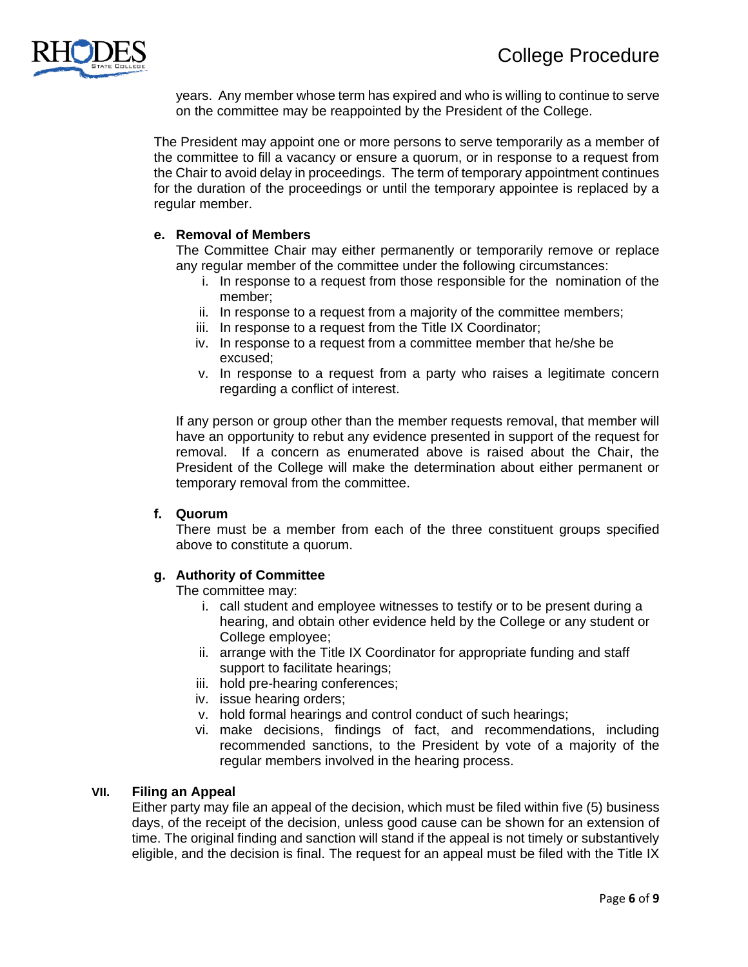

years. Any member whose term has expired and who is willing to continue to serve on the committee may be reappointed by the President of the College.

The President may appoint one or more persons to serve temporarily as a member of the committee to fill a vacancy or ensure a quorum, or in response to a request from the Chair to avoid delay in proceedings. The term of temporary appointment continues for the duration of the proceedings or until the temporary appointee is replaced by a regular member.

### **e. Removal of Members**

The Committee Chair may either permanently or temporarily remove or replace any regular member of the committee under the following circumstances:

- i. In response to a request from those responsible for the nomination of the member;
- ii. In response to a request from a majority of the committee members;
- iii. In response to a request from the Title IX Coordinator;
- iv. In response to a request from a committee member that he/she be excused;
- v. In response to a request from a party who raises a legitimate concern regarding a conflict of interest.

If any person or group other than the member requests removal, that member will have an opportunity to rebut any evidence presented in support of the request for removal. If a concern as enumerated above is raised about the Chair, the President of the College will make the determination about either permanent or temporary removal from the committee.

### **f. Quorum**

There must be a member from each of the three constituent groups specified above to constitute a quorum.

### **g. Authority of Committee**

The committee may:

- i. call student and employee witnesses to testify or to be present during a hearing, and obtain other evidence held by the College or any student or College employee;
- ii. arrange with the Title IX Coordinator for appropriate funding and staff support to facilitate hearings;
- iii. hold pre-hearing conferences;
- iv. issue hearing orders;
- v. hold formal hearings and control conduct of such hearings;
- vi. make decisions, findings of fact, and recommendations, including recommended sanctions, to the President by vote of a majority of the regular members involved in the hearing process.

### **VII. Filing an Appeal**

Either party may file an appeal of the decision, which must be filed within five (5) business days, of the receipt of the decision, unless good cause can be shown for an extension of time. The original finding and sanction will stand if the appeal is not timely or substantively eligible, and the decision is final. The request for an appeal must be filed with the Title IX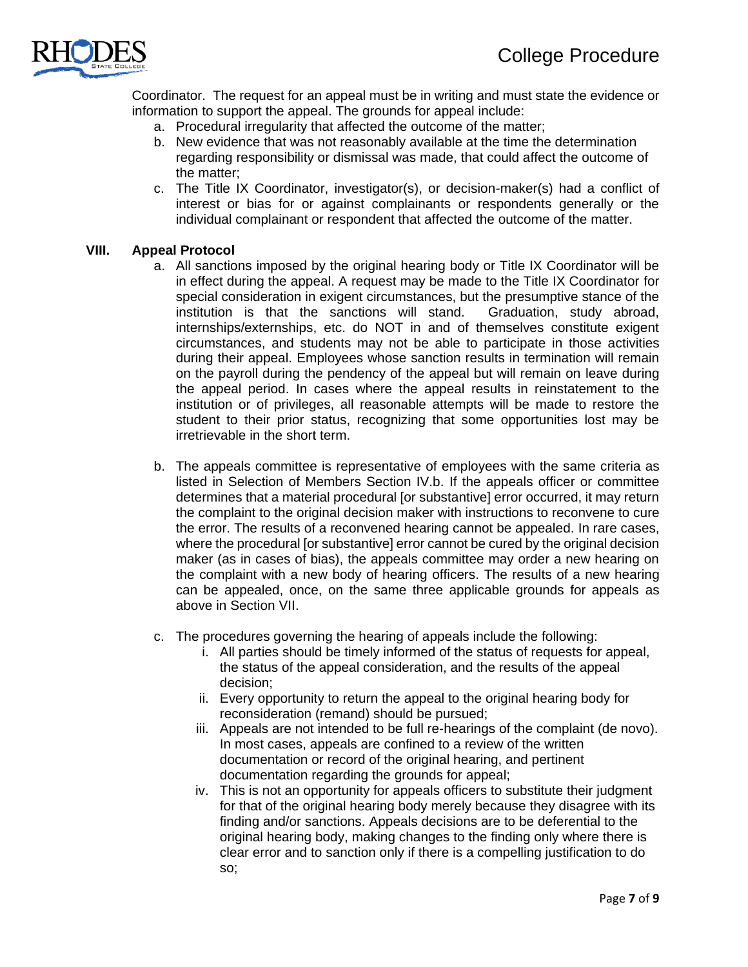

Coordinator. The request for an appeal must be in writing and must state the evidence or information to support the appeal. The grounds for appeal include:

- a. Procedural irregularity that affected the outcome of the matter;
- b. New evidence that was not reasonably available at the time the determination regarding responsibility or dismissal was made, that could affect the outcome of the matter;
- c. The Title IX Coordinator, investigator(s), or decision-maker(s) had a conflict of interest or bias for or against complainants or respondents generally or the individual complainant or respondent that affected the outcome of the matter.

### **VIII. Appeal Protocol**

- a. All sanctions imposed by the original hearing body or Title IX Coordinator will be in effect during the appeal. A request may be made to the Title IX Coordinator for special consideration in exigent circumstances, but the presumptive stance of the institution is that the sanctions will stand. Graduation, study abroad, internships/externships, etc. do NOT in and of themselves constitute exigent circumstances, and students may not be able to participate in those activities during their appeal. Employees whose sanction results in termination will remain on the payroll during the pendency of the appeal but will remain on leave during the appeal period. In cases where the appeal results in reinstatement to the institution or of privileges, all reasonable attempts will be made to restore the student to their prior status, recognizing that some opportunities lost may be irretrievable in the short term.
- b. The appeals committee is representative of employees with the same criteria as listed in Selection of Members Section IV.b. If the appeals officer or committee determines that a material procedural [or substantive] error occurred, it may return the complaint to the original decision maker with instructions to reconvene to cure the error. The results of a reconvened hearing cannot be appealed. In rare cases, where the procedural [or substantive] error cannot be cured by the original decision maker (as in cases of bias), the appeals committee may order a new hearing on the complaint with a new body of hearing officers. The results of a new hearing can be appealed, once, on the same three applicable grounds for appeals as above in Section VII.
- c. The procedures governing the hearing of appeals include the following:
	- i. All parties should be timely informed of the status of requests for appeal, the status of the appeal consideration, and the results of the appeal decision;
	- ii. Every opportunity to return the appeal to the original hearing body for reconsideration (remand) should be pursued;
	- iii. Appeals are not intended to be full re-hearings of the complaint (de novo). In most cases, appeals are confined to a review of the written documentation or record of the original hearing, and pertinent documentation regarding the grounds for appeal;
	- iv. This is not an opportunity for appeals officers to substitute their judgment for that of the original hearing body merely because they disagree with its finding and/or sanctions. Appeals decisions are to be deferential to the original hearing body, making changes to the finding only where there is clear error and to sanction only if there is a compelling justification to do so;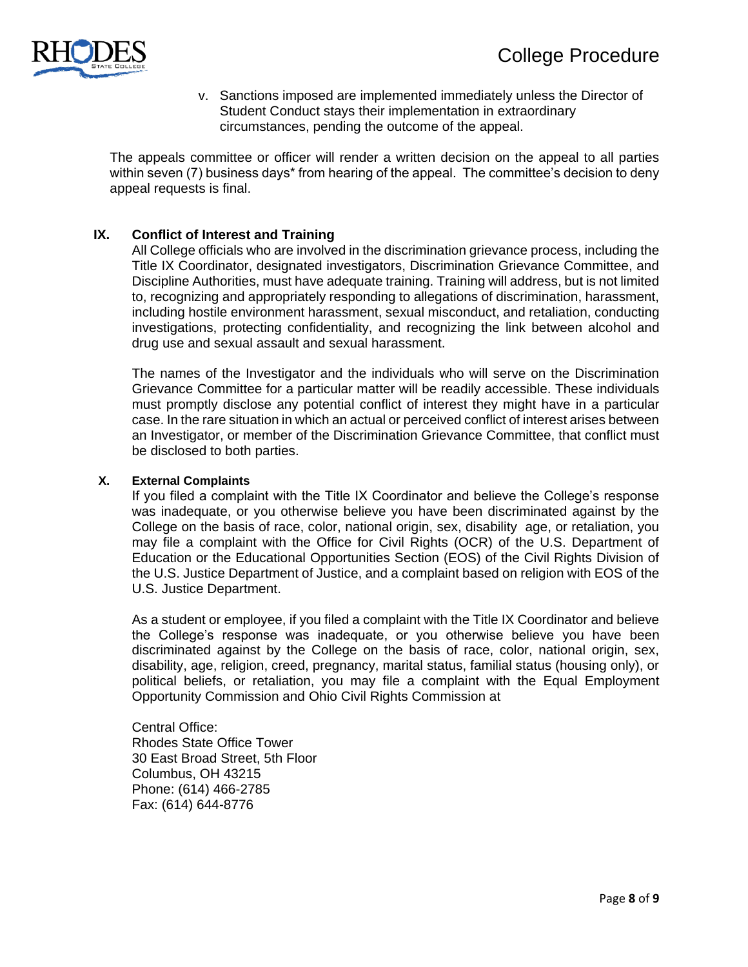

v. Sanctions imposed are implemented immediately unless the Director of Student Conduct stays their implementation in extraordinary circumstances, pending the outcome of the appeal.

The appeals committee or officer will render a written decision on the appeal to all parties within seven (7) business days\* from hearing of the appeal. The committee's decision to deny appeal requests is final.

### **IX. Conflict of Interest and Training**

All College officials who are involved in the discrimination grievance process, including the Title IX Coordinator, designated investigators, Discrimination Grievance Committee, and Discipline Authorities, must have adequate training. Training will address, but is not limited to, recognizing and appropriately responding to allegations of discrimination, harassment, including hostile environment harassment, sexual misconduct, and retaliation, conducting investigations, protecting confidentiality, and recognizing the link between alcohol and drug use and sexual assault and sexual harassment.

The names of the Investigator and the individuals who will serve on the Discrimination Grievance Committee for a particular matter will be readily accessible. These individuals must promptly disclose any potential conflict of interest they might have in a particular case. In the rare situation in which an actual or perceived conflict of interest arises between an Investigator, or member of the Discrimination Grievance Committee, that conflict must be disclosed to both parties.

#### **X. External Complaints**

If you filed a complaint with the Title IX Coordinator and believe the College's response was inadequate, or you otherwise believe you have been discriminated against by the College on the basis of race, color, national origin, sex, disability age, or retaliation, you may file a complaint with the Office for Civil Rights (OCR) of the U.S. Department of Education or the Educational Opportunities Section (EOS) of the Civil Rights Division of the U.S. Justice Department of Justice, and a complaint based on religion with EOS of the U.S. Justice Department.

As a student or employee, if you filed a complaint with the Title IX Coordinator and believe the College's response was inadequate, or you otherwise believe you have been discriminated against by the College on the basis of race, color, national origin, sex, disability, age, religion, creed, pregnancy, marital status, familial status (housing only), or political beliefs, or retaliation, you may file a complaint with the Equal Employment Opportunity Commission and Ohio Civil Rights Commission at

[Central Office:](https://crc.ohio.gov/AboutUs/ExecutiveStaff.aspx) Rhodes State Office Tower 30 East Broad Street, 5th Floor Columbus, OH 43215 Phone: (614) 466-2785 Fax: (614) 644-8776